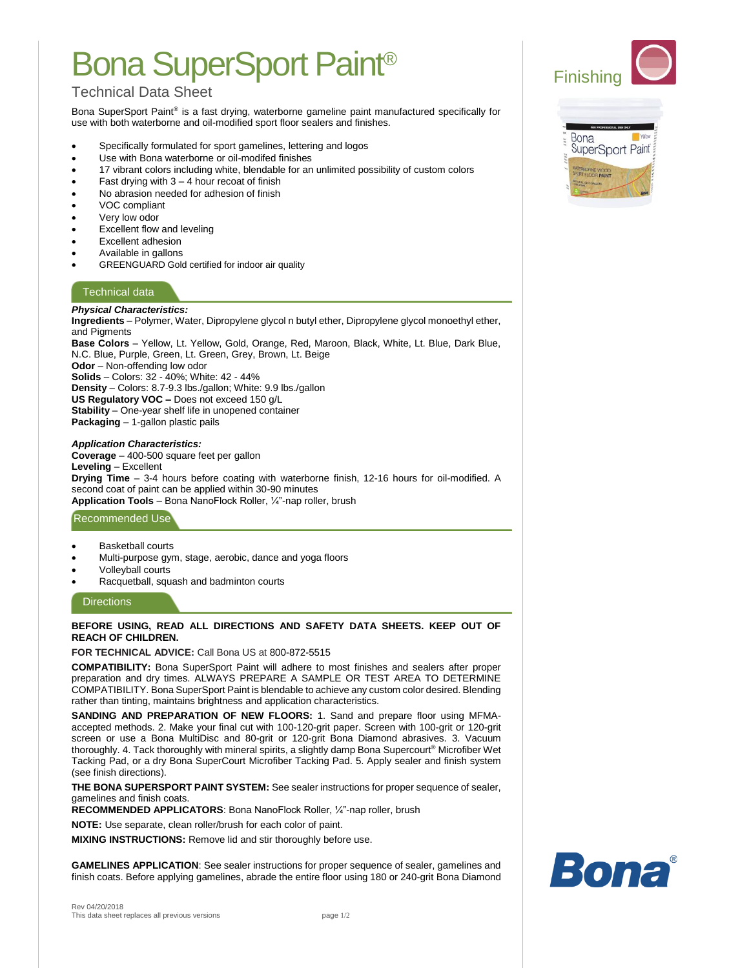# Bona SuperSport Paint®

# Technical Data Sheet

Bona SuperSport Paint® is a fast drying, waterborne gameline paint manufactured specifically for use with both waterborne and oil-modified sport floor sealers and finishes.

- Specifically formulated for sport gamelines, lettering and logos
- Use with Bona waterborne or oil-modifed finishes
- 17 vibrant colors including white, blendable for an unlimited possibility of custom colors
- Fast drying with  $3 4$  hour recoat of finish
- No abrasion needed for adhesion of finish
- VOC compliant
- Very low odor
- Excellent flow and leveling
- Excellent adhesion
- Available in gallons
- GREENGUARD Gold certified for indoor air quality

# Technical data

### *Physical Characteristics:*

**Ingredients** – Polymer, Water, Dipropylene glycol n butyl ether, Dipropylene glycol monoethyl ether, and Pigments

**Base Colors** – Yellow, Lt. Yellow, Gold, Orange, Red, Maroon, Black, White, Lt. Blue, Dark Blue, N.C. Blue, Purple, Green, Lt. Green, Grey, Brown, Lt. Beige

**Odor** – Non-offending low odor

**Solids** – Colors: 32 - 40%; White: 42 - 44%

**Density** – Colors: 8.7-9.3 lbs./gallon; White: 9.9 lbs./gallon

**US Regulatory VOC –** Does not exceed 150 g/L

**Stability** – One-year shelf life in unopened container **Packaging** – 1-gallon plastic pails

### *Application Characteristics:*

**Coverage** – 400-500 square feet per gallon **Leveling** – Excellent **Drying Time** – 3-4 hours before coating with waterborne finish, 12-16 hours for oil-modified. A second coat of paint can be applied within 30-90 minutes **Application Tools** – Bona NanoFlock Roller, ¼"-nap roller, brush

## Recommended Use

- **Basketball courts**
- Multi-purpose gym, stage, aerobic, dance and yoga floors
- Volleyball courts
- Racquetball, squash and badminton courts

#### **Directions**

#### **BEFORE USING, READ ALL DIRECTIONS AND SAFETY DATA SHEETS. KEEP OUT OF REACH OF CHILDREN.**

#### **FOR TECHNICAL ADVICE:** Call Bona US at 800-872-5515

**COMPATIBILITY:** Bona SuperSport Paint will adhere to most finishes and sealers after proper preparation and dry times. ALWAYS PREPARE A SAMPLE OR TEST AREA TO DETERMINE COMPATIBILITY. Bona SuperSport Paint is blendable to achieve any custom color desired. Blending rather than tinting, maintains brightness and application characteristics.

**SANDING AND PREPARATION OF NEW FLOORS:** 1. Sand and prepare floor using MFMAaccepted methods. 2. Make your final cut with 100-120-grit paper. Screen with 100-grit or 120-grit screen or use a Bona MultiDisc and 80-grit or 120-grit Bona Diamond abrasives. 3. Vacuum thoroughly. 4. Tack thoroughly with mineral spirits, a slightly damp Bona Supercourt® Microfiber Wet Tacking Pad, or a dry Bona SuperCourt Microfiber Tacking Pad. 5. Apply sealer and finish system (see finish directions).

**THE BONA SUPERSPORT PAINT SYSTEM:** See sealer instructions for proper sequence of sealer, gamelines and finish coats.

**RECOMMENDED APPLICATORS**: Bona NanoFlock Roller, ¼"-nap roller, brush

**NOTE:** Use separate, clean roller/brush for each color of paint.

**MIXING INSTRUCTIONS:** Remove lid and stir thoroughly before use.

**GAMELINES APPLICATION**: See sealer instructions for proper sequence of sealer, gamelines and finish coats. Before applying gamelines, abrade the entire floor using 180 or 240-grit Bona Diamond